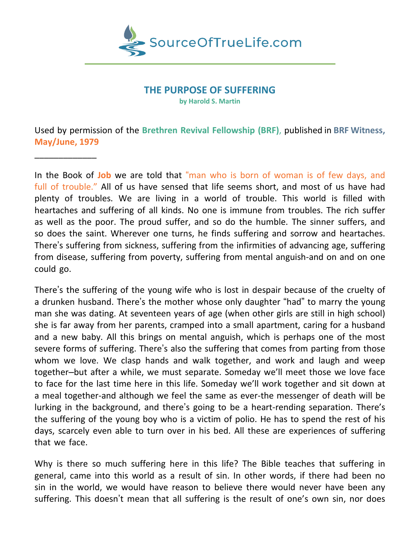

### **THE PURPOSE OF SUFFERING**

**by Harold S. Martin**

Used by permission of the **Brethren Revival Fellowship (BRF)**, published in **BRF Witness, May/June, 1979**

\_\_\_\_\_\_\_\_\_\_\_\_\_

In the Book of **Job** we are told that "man who is born of woman is of few days, and full of trouble." All of us have sensed that life seems short, and most of us have had plenty of troubles. We are living in a world of trouble. This world is filled with heartaches and suffering of all kinds. No one is immune from troubles. The rich suffer as well as the poor. The proud suffer, and so do the humble. The sinner suffers, and so does the saint. Wherever one turns, he finds suffering and sorrow and heartaches. There's suffering from sickness, suffering from the infirmities of advancing age, suffering from disease, suffering from poverty, suffering from mental anguish-and on and on one could go.

There's the suffering of the young wife who is lost in despair because of the cruelty of a drunken husband. There's the mother whose only daughter "had" to marry the young man she was dating. At seventeen years of age (when other girls are still in high school) she is far away from her parents, cramped into a small apartment, caring for a husband and a new baby. All this brings on mental anguish, which is perhaps one of the most severe forms of suffering. There's also the suffering that comes from parting from those whom we love. We clasp hands and walk together, and work and laugh and weep together–but after a while, we must separate. Someday we'll meet those we love face to face for the last time here in this life. Someday we'll work together and sit down at a meal together-and although we feel the same as ever-the messenger of death will be lurking in the background, and there's going to be a heart-rending separation. There's the suffering of the young boy who is a victim of polio. He has to spend the rest of his days, scarcely even able to turn over in his bed. All these are experiences of suffering that we face.

Why is there so much suffering here in this life? The Bible teaches that suffering in general, came into this world as a result of sin. In other words, if there had been no sin in the world, we would have reason to believe there would never have been any suffering. This doesn't mean that all suffering is the result of one's own sin, nor does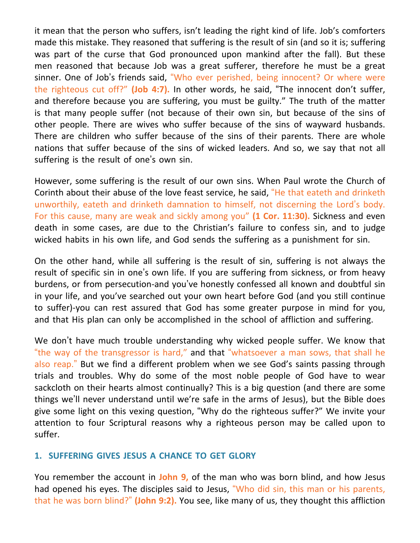it mean that the person who suffers, isn't leading the right kind of life. Job's comforters made this mistake. They reasoned that suffering is the result of sin (and so it is; suffering was part of the curse that God pronounced upon mankind after the fall). But these men reasoned that because Job was a great sufferer, therefore he must be a great sinner. One of Job's friends said, "Who ever perished, being innocent? Or where were the righteous cut off?" **(Job 4:7).** In other words, he said, "The innocent don't suffer, and therefore because you are suffering, you must be guilty." The truth of the matter is that many people suffer (not because of their own sin, but because of the sins of other people. There are wives who suffer because of the sins of wayward husbands. There are children who suffer because of the sins of their parents. There are whole nations that suffer because of the sins of wicked leaders. And so, we say that not all suffering is the result of one's own sin.

However, some suffering is the result of our own sins. When Paul wrote the Church of Corinth about their abuse of the love feast service, he said, "He that eateth and drinketh unworthily, eateth and drinketh damnation to himself, not discerning the Lord's body. For this cause, many are weak and sickly among you" **(1 Cor. 11:30).** Sickness and even death in some cases, are due to the Christian's failure to confess sin, and to judge wicked habits in his own life, and God sends the suffering as a punishment for sin.

On the other hand, while all suffering is the result of sin, suffering is not always the result of specific sin in one's own life. If you are suffering from sickness, or from heavy burdens, or from persecution-and you've honestly confessed all known and doubtful sin in your life, and you've searched out your own heart before God (and you still continue to suffer)-you can rest assured that God has some greater purpose in mind for you, and that His plan can only be accomplished in the school of affliction and suffering.

We don't have much trouble understanding why wicked people suffer. We know that "the way of the transgressor is hard," and that "whatsoever a man sows, that shall he also reap." But we find a different problem when we see God's saints passing through trials and troubles. Why do some of the most noble people of God have to wear sackcloth on their hearts almost continually? This is a big question (and there are some things we'll never understand until we're safe in the arms of Jesus), but the Bible does give some light on this vexing question, "Why do the righteous suffer?" We invite your attention to four Scriptural reasons why a righteous person may be called upon to suffer.

# **1. SUFFERING GIVES JESUS A CHANCE TO GET GLORY**

You remember the account in **John 9,** of the man who was born blind, and how Jesus had opened his eyes. The disciples said to Jesus, "Who did sin, this man or his parents, that he was born blind?" **(John 9:2).** You see, like many of us, they thought this affliction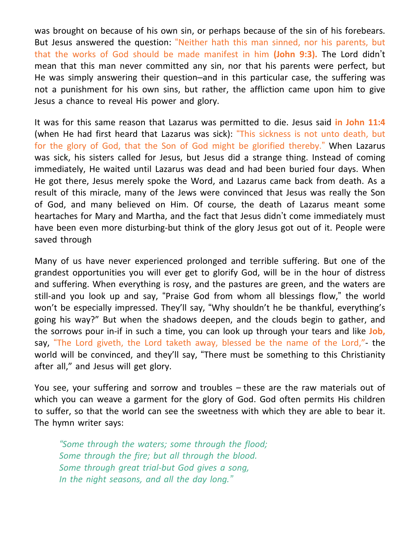was brought on because of his own sin, or perhaps because of the sin of his forebears. But Jesus answered the question: "Neither hath this man sinned, nor his parents, but that the works of God should be made manifest in him **(John 9:3).** The Lord didn't mean that this man never committed any sin, nor that his parents were perfect, but He was simply answering their question–and in this particular case, the suffering was not a punishment for his own sins, but rather, the affliction came upon him to give Jesus a chance to reveal His power and glory.

It was for this same reason that Lazarus was permitted to die. Jesus said **in John 11:4** (when He had first heard that Lazarus was sick): "This sickness is not unto death, but for the glory of God, that the Son of God might be glorified thereby." When Lazarus was sick, his sisters called for Jesus, but Jesus did a strange thing. Instead of coming immediately, He waited until Lazarus was dead and had been buried four days. When He got there, Jesus merely spoke the Word, and Lazarus came back from death. As a result of this miracle, many of the Jews were convinced that Jesus was really the Son of God, and many believed on Him. Of course, the death of Lazarus meant some heartaches for Mary and Martha, and the fact that Jesus didn't come immediately must have been even more disturbing-but think of the glory Jesus got out of it. People were saved through

Many of us have never experienced prolonged and terrible suffering. But one of the grandest opportunities you will ever get to glorify God, will be in the hour of distress and suffering. When everything is rosy, and the pastures are green, and the waters are still-and you look up and say, "Praise God from whom all blessings flow," the world won't be especially impressed. They'll say, "Why shouldn't he be thankful, everything's going his way?" But when the shadows deepen, and the clouds begin to gather, and the sorrows pour in-if in such a time, you can look up through your tears and like **Job,** say, "The Lord giveth, the Lord taketh away, blessed be the name of the Lord,"- the world will be convinced, and they'll say, "There must be something to this Christianity after all," and Jesus will get glory.

You see, your suffering and sorrow and troubles – these are the raw materials out of which you can weave a garment for the glory of God. God often permits His children to suffer, so that the world can see the sweetness with which they are able to bear it. The hymn writer says:

*"Some through the waters; some through the flood; Some through the fire; but all through the blood. Some through great trial-but God gives a song, In the night seasons, and all the day long."*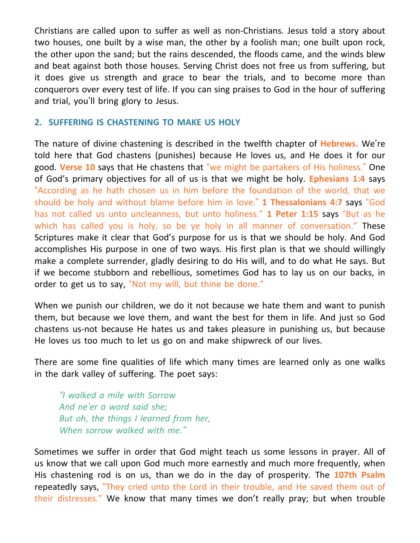Christians are called upon to suffer as well as non-Christians. Jesus told a story about two houses, one built by a wise man, the other by a foolish man; one built upon rock, the other upon the sand; but the rains descended, the floods came, and the winds blew and beat against both those houses. Serving Christ does not free us from suffering, but it does give us strength and grace to bear the trials, and to become more than conquerors over every test of life. If you can sing praises to God in the hour of suffering and trial, you'll bring glory to Jesus.

### **2. SUFFERING IS CHASTENING TO MAKE US HOLY**

The nature of divine chastening is described in the twelfth chapter of **Hebrews.** We're told here that God chastens (punishes) because He loves us, and He does it for our good. **Verse 10** says that He chastens that "we might be partakers of His holiness." One of God's primary objectives for all of us is that we might be holy. **Ephesians 1:4** says "According as he hath chosen us in him before the foundation of the world, that we should be holy and without blame before him in love." **1 Thessalonians 4:7** says "God has not called us unto uncleanness, but unto holiness." **1 Peter 1:15** says "But as he which has called you is holy, so be ye holy in all manner of conversation." These Scriptures make it clear that God's purpose for us is that we should be holy. And God accomplishes His purpose in one of two ways. His first plan is that we should willingly make a complete surrender, gladly desiring to do His will, and to do what He says. But if we become stubborn and rebellious, sometimes God has to lay us on our backs, in order to get us to say, "Not my will, but thine be done."

When we punish our children, we do it not because we hate them and want to punish them, but because we love them, and want the best for them in life. And just so God chastens us-not because He hates us and takes pleasure in punishing us, but because He loves us too much to let us go on and make shipwreck of our lives.

There are some fine qualities of life which many times are learned only as one walks in the dark valley of suffering. The poet says:

*"I walked a mile with Sorrow And ne'er a word said she; But oh, the things I learned from her, When sorrow walked with me."*

Sometimes we suffer in order that God might teach us some lessons in prayer. All of us know that we call upon God much more earnestly and much more frequently, when His chastening rod is on us, than we do in the day of prosperity. The **107th Psalm** repeatedly says, "They cried unto the Lord in their trouble, and He saved them out of their distresses." We know that many times we don't really pray; but when trouble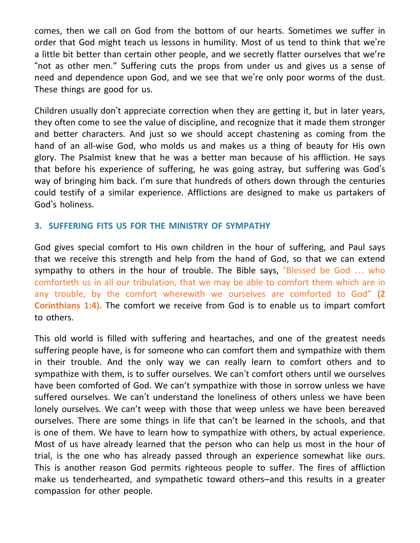comes, then we call on God from the bottom of our hearts. Sometimes we suffer in order that God might teach us lessons in humility. Most of us tend to think that we're a little bit better than certain other people, and we secretly flatter ourselves that we're "not as other men." Suffering cuts the props from under us and gives us a sense of need and dependence upon God, and we see that we're only poor worms of the dust. These things are good for us.

Children usually don't appreciate correction when they are getting it, but in later years, they often come to see the value of discipline, and recognize that it made them stronger and better characters. And just so we should accept chastening as coming from the hand of an all-wise God, who molds us and makes us a thing of beauty for His own glory. The Psalmist knew that he was a better man because of his affliction. He says that before his experience of suffering, he was going astray, but suffering was God's way of bringing him back. I'm sure that hundreds of others down through the centuries could testify of a similar experience. Afflictions are designed to make us partakers of God's holiness.

## **3. SUFFERING FITS US FOR THE MINISTRY OF SYMPATHY**

God gives special comfort to His own children in the hour of suffering, and Paul says that we receive this strength and help from the hand of God, so that we can extend sympathy to others in the hour of trouble. The Bible says, "Blessed be God … who comforteth us in all our tribulation, that we may be able to comfort them which are in any trouble, by the comfort wherewith we ourselves are comforted to God" **(2 Corinthians 1:4).** The comfort we receive from God is to enable us to impart comfort to others.

This old world is filled with suffering and heartaches, and one of the greatest needs suffering people have, is for someone who can comfort them and sympathize with them in their trouble. And the only way we can really learn to comfort others and to sympathize with them, is to suffer ourselves. We can't comfort others until we ourselves have been comforted of God. We can't sympathize with those in sorrow unless we have suffered ourselves. We can't understand the loneliness of others unless we have been lonely ourselves. We can't weep with those that weep unless we have been bereaved ourselves. There are some things in life that can't be learned in the schools, and that is one of them. We have to learn how to sympathize with others, by actual experience. Most of us have already learned that the person who can help us most in the hour of trial, is the one who has already passed through an experience somewhat like ours. This is another reason God permits righteous people to suffer. The fires of affliction make us tenderhearted, and sympathetic toward others–and this results in a greater compassion for other people.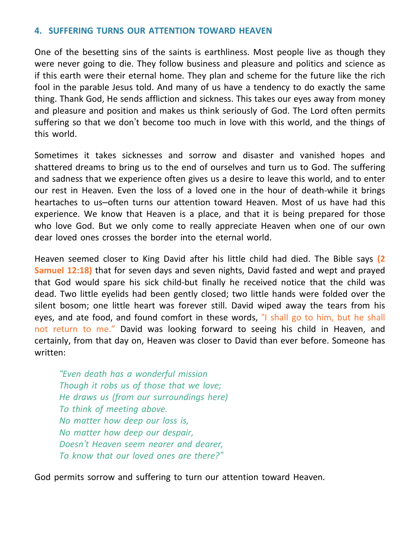### **4. SUFFERING TURNS OUR ATTENTION TOWARD HEAVEN**

One of the besetting sins of the saints is earthliness. Most people live as though they were never going to die. They follow business and pleasure and politics and science as if this earth were their eternal home. They plan and scheme for the future like the rich fool in the parable Jesus told. And many of us have a tendency to do exactly the same thing. Thank God, He sends affliction and sickness. This takes our eyes away from money and pleasure and position and makes us think seriously of God. The Lord often permits suffering so that we don't become too much in love with this world, and the things of this world.

Sometimes it takes sicknesses and sorrow and disaster and vanished hopes and shattered dreams to bring us to the end of ourselves and turn us to God. The suffering and sadness that we experience often gives us a desire to leave this world, and to enter our rest in Heaven. Even the loss of a loved one in the hour of death-while it brings heartaches to us–often turns our attention toward Heaven. Most of us have had this experience. We know that Heaven is a place, and that it is being prepared for those who love God. But we only come to really appreciate Heaven when one of our own dear loved ones crosses the border into the eternal world.

Heaven seemed closer to King David after his little child had died. The Bible says **(2 Samuel 12:18)** that for seven days and seven nights, David fasted and wept and prayed that God would spare his sick child-but finally he received notice that the child was dead. Two little eyelids had been gently closed; two little hands were folded over the silent bosom; one little heart was forever still. David wiped away the tears from his eyes, and ate food, and found comfort in these words, "I shall go to him, but he shall not return to me." David was looking forward to seeing his child in Heaven, and certainly, from that day on, Heaven was closer to David than ever before. Someone has written:

*"Even death has a wonderful mission Though it robs us of those that we love; He draws us (from our surroundings here) To think of meeting above. No matter how deep our loss is, No matter how deep our despair, Doesn't Heaven seem nearer and dearer, To know that our loved ones are there?"*

God permits sorrow and suffering to turn our attention toward Heaven.